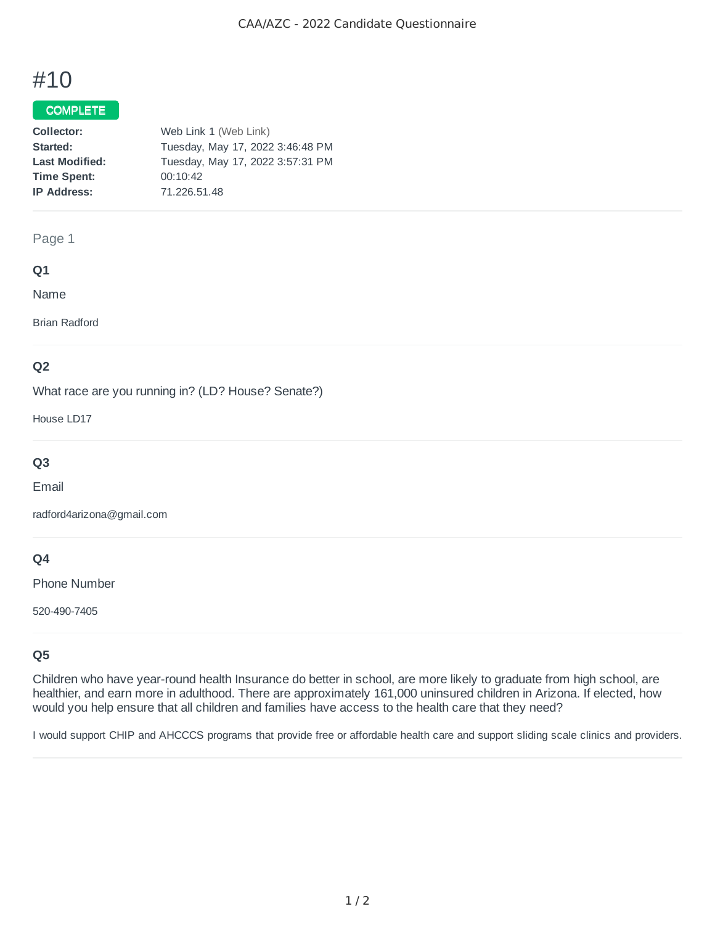# #10

## COMPLETE

| Collector:            | Web Link 1 (Web Link)            |
|-----------------------|----------------------------------|
| Started:              | Tuesday, May 17, 2022 3:46:48 PM |
| <b>Last Modified:</b> | Tuesday, May 17, 2022 3:57:31 PM |
| <b>Time Spent:</b>    | 00:10:42                         |
| <b>IP Address:</b>    | 71.226.51.48                     |

## Page 1

## **Q1**

Name

Brian Radford

## **Q2**

What race are you running in? (LD? House? Senate?)

House LD17

# **Q3**

Email

radford4arizona@gmail.com

## **Q4**

Phone Number

520-490-7405

# **Q5**

Children who have year-round health Insurance do better in school, are more likely to graduate from high school, are healthier, and earn more in adulthood. There are approximately 161,000 uninsured children in Arizona. If elected, how would you help ensure that all children and families have access to the health care that they need?

I would support CHIP and AHCCCS programs that provide free or affordable health care and support sliding scale clinics and providers.